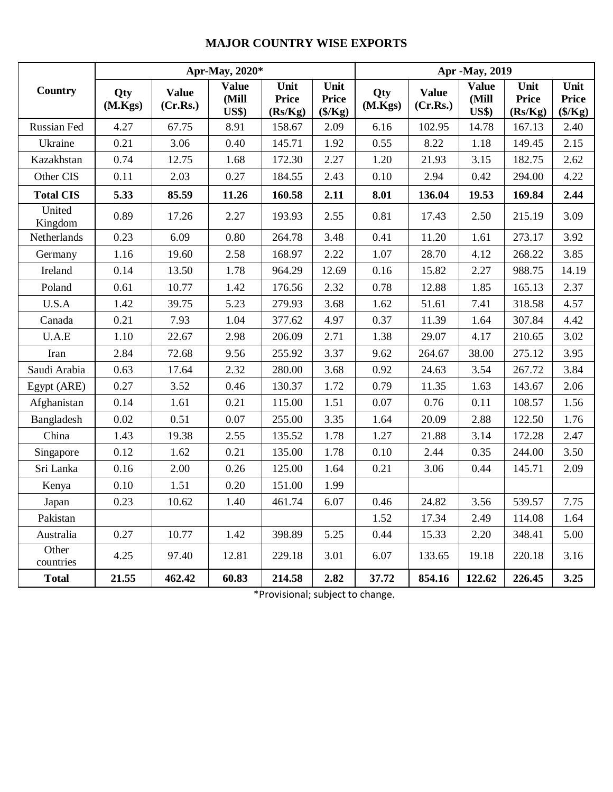## **MAJOR COUNTRY WISE EXPORTS**

|                    |                |                          | Apr-May, 2020*                        |                                 | Apr -May, 2019                           |                |                          |                                       |                                 |                                          |
|--------------------|----------------|--------------------------|---------------------------------------|---------------------------------|------------------------------------------|----------------|--------------------------|---------------------------------------|---------------------------------|------------------------------------------|
| Country            | Qty<br>(M.Kgs) | <b>Value</b><br>(Cr.Rs.) | <b>Value</b><br>(Mill<br><b>US\$)</b> | Unit<br><b>Price</b><br>(Rs/Kg) | Unit<br><b>Price</b><br>$(\frac{5}{Kg})$ | Qty<br>(M.Kgs) | <b>Value</b><br>(Cr.Rs.) | <b>Value</b><br>(Mill<br><b>US\$)</b> | Unit<br><b>Price</b><br>(Rs/Kg) | Unit<br><b>Price</b><br>$(\frac{5}{Kg})$ |
| Russian Fed        | 4.27           | 67.75                    | 8.91                                  | 158.67                          | 2.09                                     | 6.16           | 102.95                   | 14.78                                 | 167.13                          | 2.40                                     |
| Ukraine            | 0.21           | 3.06                     | 0.40                                  | 145.71                          | 1.92                                     | 0.55           | 8.22                     | 1.18                                  | 149.45                          | 2.15                                     |
| Kazakhstan         | 0.74           | 12.75                    | 1.68                                  | 172.30                          | 2.27                                     | 1.20           | 21.93                    | 3.15                                  | 182.75                          | 2.62                                     |
| Other CIS          | 0.11           | 2.03                     | 0.27                                  | 184.55                          | 2.43                                     | 0.10           | 2.94                     | 0.42                                  | 294.00                          | 4.22                                     |
| <b>Total CIS</b>   | 5.33           | 85.59                    | 11.26                                 | 160.58                          | 2.11                                     | 8.01           | 136.04                   | 19.53                                 | 169.84                          | 2.44                                     |
| United<br>Kingdom  | 0.89           | 17.26                    | 2.27                                  | 193.93                          | 2.55                                     | 0.81           | 17.43                    | 2.50                                  | 215.19                          | 3.09                                     |
| Netherlands        | 0.23           | 6.09                     | 0.80                                  | 264.78                          | 3.48                                     | 0.41           | 11.20                    | 1.61                                  | 273.17                          | 3.92                                     |
| Germany            | 1.16           | 19.60                    | 2.58                                  | 168.97                          | 2.22                                     | 1.07           | 28.70                    | 4.12                                  | 268.22                          | 3.85                                     |
| Ireland            | 0.14           | 13.50                    | 1.78                                  | 964.29                          | 12.69                                    | 0.16           | 15.82                    | 2.27                                  | 988.75                          | 14.19                                    |
| Poland             | 0.61           | 10.77                    | 1.42                                  | 176.56                          | 2.32                                     | 0.78           | 12.88                    | 1.85                                  | 165.13                          | 2.37                                     |
| U.S.A              | 1.42           | 39.75                    | 5.23                                  | 279.93                          | 3.68                                     | 1.62           | 51.61                    | 7.41                                  | 318.58                          | 4.57                                     |
| Canada             | 0.21           | 7.93                     | 1.04                                  | 377.62                          | 4.97                                     | 0.37           | 11.39                    | 1.64                                  | 307.84                          | 4.42                                     |
| U.A.E              | 1.10           | 22.67                    | 2.98                                  | 206.09                          | 2.71                                     | 1.38           | 29.07                    | 4.17                                  | 210.65                          | 3.02                                     |
| Iran               | 2.84           | 72.68                    | 9.56                                  | 255.92                          | 3.37                                     | 9.62           | 264.67                   | 38.00                                 | 275.12                          | 3.95                                     |
| Saudi Arabia       | 0.63           | 17.64                    | 2.32                                  | 280.00                          | 3.68                                     | 0.92           | 24.63                    | 3.54                                  | 267.72                          | 3.84                                     |
| Egypt (ARE)        | 0.27           | 3.52                     | 0.46                                  | 130.37                          | 1.72                                     | 0.79           | 11.35                    | 1.63                                  | 143.67                          | 2.06                                     |
| Afghanistan        | 0.14           | 1.61                     | 0.21                                  | 115.00                          | 1.51                                     | 0.07           | 0.76                     | 0.11                                  | 108.57                          | 1.56                                     |
| Bangladesh         | 0.02           | 0.51                     | 0.07                                  | 255.00                          | 3.35                                     | 1.64           | 20.09                    | 2.88                                  | 122.50                          | 1.76                                     |
| China              | 1.43           | 19.38                    | 2.55                                  | 135.52                          | 1.78                                     | 1.27           | 21.88                    | 3.14                                  | 172.28                          | 2.47                                     |
| Singapore          | 0.12           | 1.62                     | 0.21                                  | 135.00                          | 1.78                                     | 0.10           | 2.44                     | 0.35                                  | 244.00                          | 3.50                                     |
| Sri Lanka          | 0.16           | 2.00                     | 0.26                                  | 125.00                          | 1.64                                     | 0.21           | 3.06                     | 0.44                                  | 145.71                          | 2.09                                     |
| Kenya              | 0.10           | 1.51                     | 0.20                                  | 151.00                          | 1.99                                     |                |                          |                                       |                                 |                                          |
| Japan              | 0.23           | 10.62                    | 1.40                                  | 461.74                          | 6.07                                     | 0.46           | 24.82                    | 3.56                                  | 539.57                          | 7.75                                     |
| Pakistan           |                |                          |                                       |                                 |                                          | 1.52           | 17.34                    | 2.49                                  | 114.08                          | 1.64                                     |
| Australia          | 0.27           | 10.77                    | 1.42                                  | 398.89                          | 5.25                                     | 0.44           | 15.33                    | 2.20                                  | 348.41                          | 5.00                                     |
| Other<br>countries | 4.25           | 97.40                    | 12.81                                 | 229.18                          | 3.01                                     | 6.07           | 133.65                   | 19.18                                 | 220.18                          | 3.16                                     |
| <b>Total</b>       | 21.55          | 462.42                   | 60.83                                 | 214.58                          | 2.82                                     | 37.72          | 854.16                   | 122.62                                | 226.45                          | 3.25                                     |

\*Provisional; subject to change.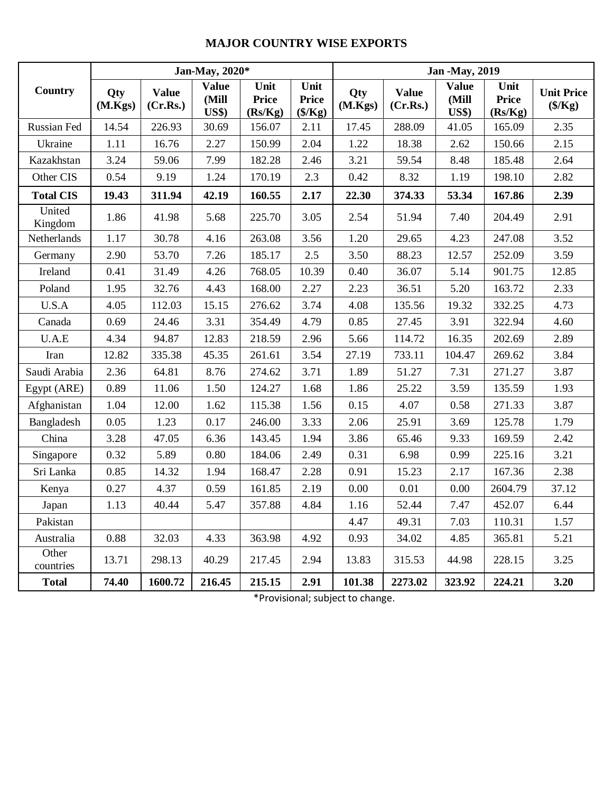## **MAJOR COUNTRY WISE EXPORTS**

|                    |                |                          | Jan-May, 2020*                         |                                 |                                          | <b>Jan -May, 2019</b> |                          |                                       |                                 |                                       |  |
|--------------------|----------------|--------------------------|----------------------------------------|---------------------------------|------------------------------------------|-----------------------|--------------------------|---------------------------------------|---------------------------------|---------------------------------------|--|
| Country            | Qty<br>(M.Kgs) | <b>Value</b><br>(Cr.Rs.) | <b>Value</b><br>(Mill<br><b>US\$</b> ) | Unit<br><b>Price</b><br>(Rs/Kg) | Unit<br><b>Price</b><br>$(\frac{5}{Kg})$ | Qty<br>(M.Kgs)        | <b>Value</b><br>(Cr.Rs.) | <b>Value</b><br>(Mill<br><b>US\$)</b> | Unit<br><b>Price</b><br>(Rs/Kg) | <b>Unit Price</b><br>$(\frac{S}{Kg})$ |  |
| Russian Fed        | 14.54          | 226.93                   | 30.69                                  | 156.07                          | 2.11                                     | 17.45                 | 288.09                   | 41.05                                 | 165.09                          | 2.35                                  |  |
| Ukraine            | 1.11           | 16.76                    | 2.27                                   | 150.99                          | 2.04                                     | 1.22                  | 18.38                    | 2.62                                  | 150.66                          | 2.15                                  |  |
| Kazakhstan         | 3.24           | 59.06                    | 7.99                                   | 182.28                          | 2.46                                     | 3.21                  | 59.54                    | 8.48                                  | 185.48                          | 2.64                                  |  |
| Other CIS          | 0.54           | 9.19                     | 1.24                                   | 170.19                          | 2.3                                      | 0.42                  | 8.32                     | 1.19                                  | 198.10                          | 2.82                                  |  |
| <b>Total CIS</b>   | 19.43          | 311.94                   | 42.19                                  | 160.55                          | 2.17                                     | 22.30                 | 374.33                   | 53.34                                 | 167.86                          | 2.39                                  |  |
| United<br>Kingdom  | 1.86           | 41.98                    | 5.68                                   | 225.70                          | 3.05                                     | 2.54                  | 51.94                    | 7.40                                  | 204.49                          | 2.91                                  |  |
| Netherlands        | 1.17           | 30.78                    | 4.16                                   | 263.08                          | 3.56                                     | 1.20                  | 29.65                    | 4.23                                  | 247.08                          | 3.52                                  |  |
| Germany            | 2.90           | 53.70                    | 7.26                                   | 185.17                          | 2.5                                      | 3.50                  | 88.23                    | 12.57                                 | 252.09                          | 3.59                                  |  |
| Ireland            | 0.41           | 31.49                    | 4.26                                   | 768.05                          | 10.39                                    | 0.40                  | 36.07                    | 5.14                                  | 901.75                          | 12.85                                 |  |
| Poland             | 1.95           | 32.76                    | 4.43                                   | 168.00                          | 2.27                                     | 2.23                  | 36.51                    | 5.20                                  | 163.72                          | 2.33                                  |  |
| U.S.A              | 4.05           | 112.03                   | 15.15                                  | 276.62                          | 3.74                                     | 4.08                  | 135.56                   | 19.32                                 | 332.25                          | 4.73                                  |  |
| Canada             | 0.69           | 24.46                    | 3.31                                   | 354.49                          | 4.79                                     | 0.85                  | 27.45                    | 3.91                                  | 322.94                          | 4.60                                  |  |
| U.A.E              | 4.34           | 94.87                    | 12.83                                  | 218.59                          | 2.96                                     | 5.66                  | 114.72                   | 16.35                                 | 202.69                          | 2.89                                  |  |
| Iran               | 12.82          | 335.38                   | 45.35                                  | 261.61                          | 3.54                                     | 27.19                 | 733.11                   | 104.47                                | 269.62                          | 3.84                                  |  |
| Saudi Arabia       | 2.36           | 64.81                    | 8.76                                   | 274.62                          | 3.71                                     | 1.89                  | 51.27                    | 7.31                                  | 271.27                          | 3.87                                  |  |
| Egypt (ARE)        | 0.89           | 11.06                    | 1.50                                   | 124.27                          | 1.68                                     | 1.86                  | 25.22                    | 3.59                                  | 135.59                          | 1.93                                  |  |
| Afghanistan        | 1.04           | 12.00                    | 1.62                                   | 115.38                          | 1.56                                     | 0.15                  | 4.07                     | 0.58                                  | 271.33                          | 3.87                                  |  |
| Bangladesh         | 0.05           | 1.23                     | 0.17                                   | 246.00                          | 3.33                                     | 2.06                  | 25.91                    | 3.69                                  | 125.78                          | 1.79                                  |  |
| China              | 3.28           | 47.05                    | 6.36                                   | 143.45                          | 1.94                                     | 3.86                  | 65.46                    | 9.33                                  | 169.59                          | 2.42                                  |  |
| Singapore          | 0.32           | 5.89                     | 0.80                                   | 184.06                          | 2.49                                     | 0.31                  | 6.98                     | 0.99                                  | 225.16                          | 3.21                                  |  |
| Sri Lanka          | 0.85           | 14.32                    | 1.94                                   | 168.47                          | 2.28                                     | 0.91                  | 15.23                    | 2.17                                  | 167.36                          | 2.38                                  |  |
| Kenya              | 0.27           | 4.37                     | 0.59                                   | 161.85                          | 2.19                                     | 0.00                  | 0.01                     | 0.00                                  | 2604.79                         | 37.12                                 |  |
| Japan              | 1.13           | 40.44                    | 5.47                                   | 357.88                          | 4.84                                     | 1.16                  | 52.44                    | 7.47                                  | 452.07                          | 6.44                                  |  |
| Pakistan           |                |                          |                                        |                                 |                                          | 4.47                  | 49.31                    | 7.03                                  | 110.31                          | 1.57                                  |  |
| Australia          | 0.88           | 32.03                    | 4.33                                   | 363.98                          | 4.92                                     | 0.93                  | 34.02                    | 4.85                                  | 365.81                          | 5.21                                  |  |
| Other<br>countries | 13.71          | 298.13                   | 40.29                                  | 217.45                          | 2.94                                     | 13.83                 | 315.53                   | 44.98                                 | 228.15                          | 3.25                                  |  |
| <b>Total</b>       | 74.40          | 1600.72                  | 216.45                                 | 215.15                          | 2.91                                     | 101.38                | 2273.02                  | 323.92                                | 224.21                          | 3.20                                  |  |

\*Provisional; subject to change.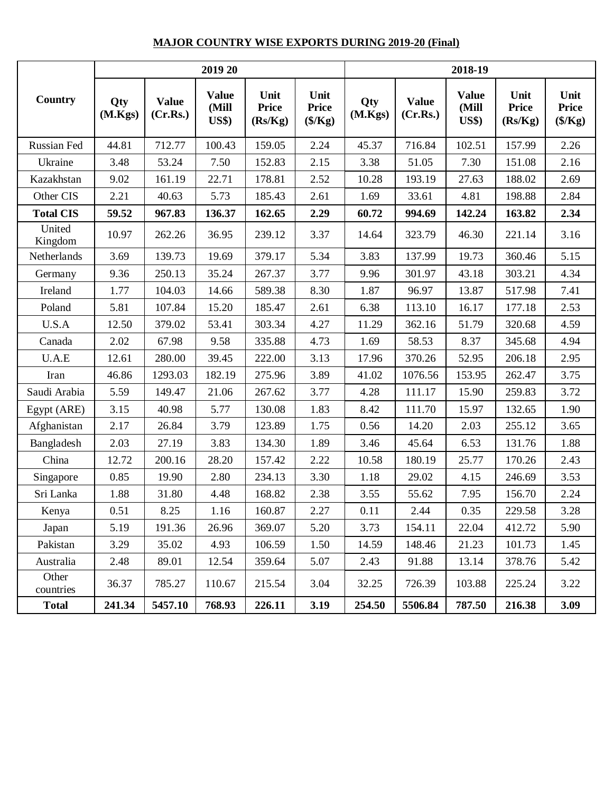## **MAJOR COUNTRY WISE EXPORTS DURING 2019-20 (Final)**

|                    |                |                          | 2019 20                               |                                 |                                          | 2018-19        |                          |                                        |                                 |                                          |  |
|--------------------|----------------|--------------------------|---------------------------------------|---------------------------------|------------------------------------------|----------------|--------------------------|----------------------------------------|---------------------------------|------------------------------------------|--|
| <b>Country</b>     | Qty<br>(M.Kgs) | <b>Value</b><br>(Cr.Rs.) | <b>Value</b><br>(Mill<br><b>US\$)</b> | Unit<br><b>Price</b><br>(Rs/Kg) | Unit<br><b>Price</b><br>$(\frac{5}{Kg})$ | Qty<br>(M.Kgs) | <b>Value</b><br>(Cr.Rs.) | <b>Value</b><br>(Mill<br><b>US\$</b> ) | Unit<br><b>Price</b><br>(Rs/Kg) | Unit<br><b>Price</b><br>$(\frac{S}{Kg})$ |  |
| Russian Fed        | 44.81          | 712.77                   | 100.43                                | 159.05                          | 2.24                                     | 45.37          | 716.84                   | 102.51                                 | 157.99                          | 2.26                                     |  |
| Ukraine            | 3.48           | 53.24                    | 7.50                                  | 152.83                          | 2.15                                     | 3.38           | 51.05                    | 7.30                                   | 151.08                          | 2.16                                     |  |
| Kazakhstan         | 9.02           | 161.19                   | 22.71                                 | 178.81                          | 2.52                                     | 10.28          | 193.19                   | 27.63                                  | 188.02                          | 2.69                                     |  |
| Other CIS          | 2.21           | 40.63                    | 5.73                                  | 185.43                          | 2.61                                     | 1.69           | 33.61                    | 4.81                                   | 198.88                          | 2.84                                     |  |
| <b>Total CIS</b>   | 59.52          | 967.83                   | 136.37                                | 162.65                          | 2.29                                     | 60.72          | 994.69                   | 142.24                                 | 163.82                          | 2.34                                     |  |
| United<br>Kingdom  | 10.97          | 262.26                   | 36.95                                 | 239.12                          | 3.37                                     | 14.64          | 323.79                   | 46.30                                  | 221.14                          | 3.16                                     |  |
| Netherlands        | 3.69           | 139.73                   | 19.69                                 | 379.17                          | 5.34                                     | 3.83           | 137.99                   | 19.73                                  | 360.46                          | 5.15                                     |  |
| Germany            | 9.36           | 250.13                   | 35.24                                 | 267.37                          | 3.77                                     | 9.96           | 301.97                   | 43.18                                  | 303.21                          | 4.34                                     |  |
| Ireland            | 1.77           | 104.03                   | 14.66                                 | 589.38                          | 8.30                                     | 1.87           | 96.97                    | 13.87                                  | 517.98                          | 7.41                                     |  |
| Poland             | 5.81           | 107.84                   | 15.20                                 | 185.47                          | 2.61                                     | 6.38           | 113.10                   | 16.17                                  | 177.18                          | 2.53                                     |  |
| U.S.A              | 12.50          | 379.02                   | 53.41                                 | 303.34                          | 4.27                                     | 11.29          | 362.16                   | 51.79                                  | 320.68                          | 4.59                                     |  |
| Canada             | 2.02           | 67.98                    | 9.58                                  | 335.88                          | 4.73                                     | 1.69           | 58.53                    | 8.37                                   | 345.68                          | 4.94                                     |  |
| U.A.E              | 12.61          | 280.00                   | 39.45                                 | 222.00                          | 3.13                                     | 17.96          | 370.26                   | 52.95                                  | 206.18                          | 2.95                                     |  |
| Iran               | 46.86          | 1293.03                  | 182.19                                | 275.96                          | 3.89                                     | 41.02          | 1076.56                  | 153.95                                 | 262.47                          | 3.75                                     |  |
| Saudi Arabia       | 5.59           | 149.47                   | 21.06                                 | 267.62                          | 3.77                                     | 4.28           | 111.17                   | 15.90                                  | 259.83                          | 3.72                                     |  |
| Egypt (ARE)        | 3.15           | 40.98                    | 5.77                                  | 130.08                          | 1.83                                     | 8.42           | 111.70                   | 15.97                                  | 132.65                          | 1.90                                     |  |
| Afghanistan        | 2.17           | 26.84                    | 3.79                                  | 123.89                          | 1.75                                     | 0.56           | 14.20                    | 2.03                                   | 255.12                          | 3.65                                     |  |
| Bangladesh         | 2.03           | 27.19                    | 3.83                                  | 134.30                          | 1.89                                     | 3.46           | 45.64                    | 6.53                                   | 131.76                          | 1.88                                     |  |
| China              | 12.72          | 200.16                   | 28.20                                 | 157.42                          | 2.22                                     | 10.58          | 180.19                   | 25.77                                  | 170.26                          | 2.43                                     |  |
| Singapore          | 0.85           | 19.90                    | 2.80                                  | 234.13                          | 3.30                                     | 1.18           | 29.02                    | 4.15                                   | 246.69                          | 3.53                                     |  |
| Sri Lanka          | 1.88           | 31.80                    | 4.48                                  | 168.82                          | 2.38                                     | 3.55           | 55.62                    | 7.95                                   | 156.70                          | 2.24                                     |  |
| Kenya              | 0.51           | 8.25                     | 1.16                                  | 160.87                          | 2.27                                     | 0.11           | 2.44                     | 0.35                                   | 229.58                          | 3.28                                     |  |
| Japan              | 5.19           | 191.36                   | 26.96                                 | 369.07                          | 5.20                                     | 3.73           | 154.11                   | 22.04                                  | 412.72                          | 5.90                                     |  |
| Pakistan           | 3.29           | 35.02                    | 4.93                                  | 106.59                          | 1.50                                     | 14.59          | 148.46                   | 21.23                                  | 101.73                          | 1.45                                     |  |
| Australia          | 2.48           | 89.01                    | 12.54                                 | 359.64                          | 5.07                                     | 2.43           | 91.88                    | 13.14                                  | 378.76                          | 5.42                                     |  |
| Other<br>countries | 36.37          | 785.27                   | 110.67                                | 215.54                          | 3.04                                     | 32.25          | 726.39                   | 103.88                                 | 225.24                          | 3.22                                     |  |
| <b>Total</b>       | 241.34         | 5457.10                  | 768.93                                | 226.11                          | 3.19                                     | 254.50         | 5506.84                  | 787.50                                 | 216.38                          | 3.09                                     |  |